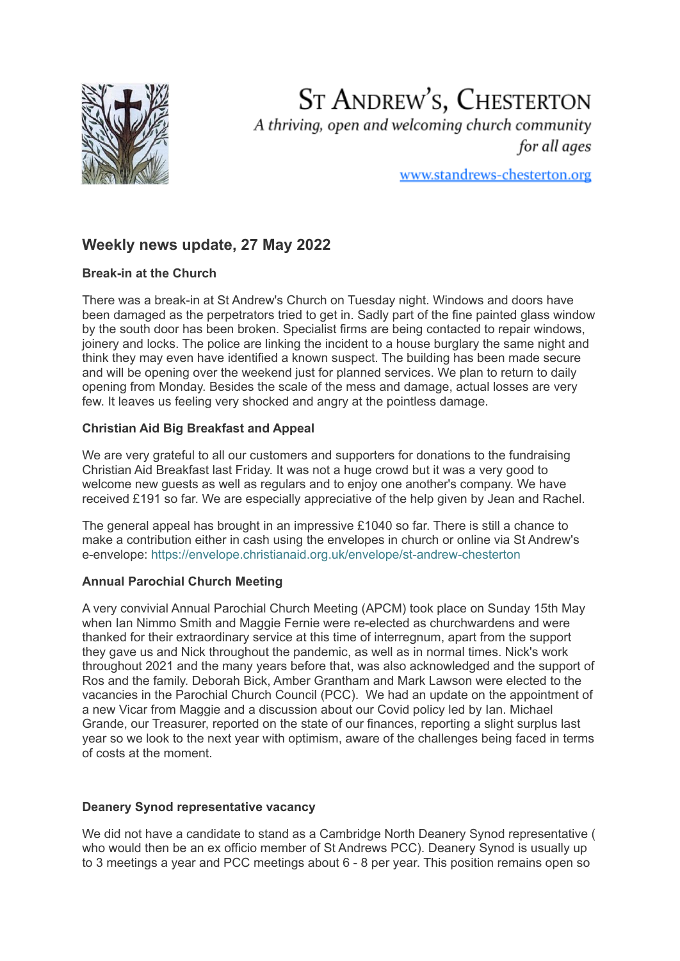

ST ANDREW'S, CHESTERTON A thriving, open and welcoming church community for all ages

www.standrews-chesterton.org

# **Weekly news update, 27 May 2022**

## **Break-in at the Church**

There was a break-in at St Andrew's Church on Tuesday night. Windows and doors have been damaged as the perpetrators tried to get in. Sadly part of the fine painted glass window by the south door has been broken. Specialist firms are being contacted to repair windows, joinery and locks. The police are linking the incident to a house burglary the same night and think they may even have identified a known suspect. The building has been made secure and will be opening over the weekend just for planned services. We plan to return to daily opening from Monday. Besides the scale of the mess and damage, actual losses are very few. It leaves us feeling very shocked and angry at the pointless damage.

## **Christian Aid Big Breakfast and Appeal**

We are very grateful to all our customers and supporters for donations to the fundraising Christian Aid Breakfast last Friday. It was not a huge crowd but it was a very good to welcome new guests as well as regulars and to enjoy one another's company. We have received £191 so far. We are especially appreciative of the help given by Jean and Rachel.

The general appeal has brought in an impressive £1040 so far. There is still a chance to make a contribution either in cash using the envelopes in church or online via St Andrew's e-envelope: <https://envelope.christianaid.org.uk/envelope/st-andrew-chesterton>

## **Annual Parochial Church Meeting**

A very convivial Annual Parochial Church Meeting (APCM) took place on Sunday 15th May when Ian Nimmo Smith and Maggie Fernie were re-elected as churchwardens and were thanked for their extraordinary service at this time of interregnum, apart from the support they gave us and Nick throughout the pandemic, as well as in normal times. Nick's work throughout 2021 and the many years before that, was also acknowledged and the support of Ros and the family. Deborah Bick, Amber Grantham and Mark Lawson were elected to the vacancies in the Parochial Church Council (PCC). We had an update on the appointment of a new Vicar from Maggie and a discussion about our Covid policy led by Ian. Michael Grande, our Treasurer, reported on the state of our finances, reporting a slight surplus last year so we look to the next year with optimism, aware of the challenges being faced in terms of costs at the moment.

### **Deanery Synod representative vacancy**

We did not have a candidate to stand as a Cambridge North Deanery Synod representative ( who would then be an ex officio member of St Andrews PCC). Deanery Synod is usually up to 3 meetings a year and PCC meetings about 6 - 8 per year. This position remains open so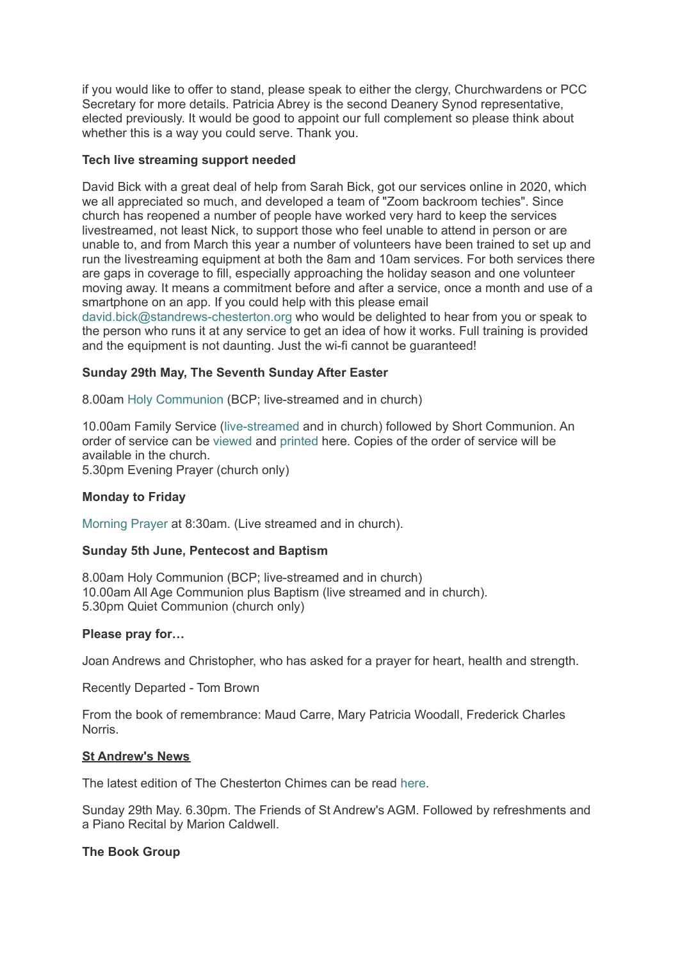if you would like to offer to stand, please speak to either the clergy, Churchwardens or PCC Secretary for more details. Patricia Abrey is the second Deanery Synod representative, elected previously. It would be good to appoint our full complement so please think about whether this is a way you could serve. Thank you.

### **Tech live streaming support needed**

David Bick with a great deal of help from Sarah Bick, got our services online in 2020, which we all appreciated so much, and developed a team of "Zoom backroom techies". Since church has reopened a number of people have worked very hard to keep the services livestreamed, not least Nick, to support those who feel unable to attend in person or are unable to, and from March this year a number of volunteers have been trained to set up and run the livestreaming equipment at both the 8am and 10am services. For both services there are gaps in coverage to fill, especially approaching the holiday season and one volunteer moving away. It means a commitment before and after a service, once a month and use of a smartphone on an app. If you could help with this please email

david.bick@standrews-chesterton.org who would be delighted to hear from you or speak to the person who runs it at any service to get an idea of how it works. Full training is provided and the equipment is not daunting. Just the wi-fi cannot be guaranteed!

### **Sunday 29th May, The Seventh Sunday After Easter**

8.00am Holy [Communion](https://www.youtube.com/watch?v=-7JcSQ1l2qA) (BCP; live-streamed and in church)

10.00am Family Service ([live-streamed](https://www.youtube.com/watch?v=3iR8gN68mSc) and in church) followed by Short Communion. An order of service can be [viewed](https://www.standrews-chesterton.org/wp-content/uploads/2022/05/220529FS-view.pdf) and [printed](https://www.standrews-chesterton.org/wp-content/uploads/2022/05/220529FS-print.pdf) here. Copies of the order of service will be available in the church.

5.30pm Evening Prayer (church only)

### **Monday to Friday**

[Morning](https://meet.google.com/skv-vgfa-sqp?pli=1) Prayer at 8:30am. (Live streamed and in church).

### **Sunday 5th June, Pentecost and Baptism**

8.00am Holy Communion (BCP; live-streamed and in church) 10.00am All Age Communion plus Baptism (live streamed and in church). 5.30pm Quiet Communion (church only)

### **Please pray for…**

Joan Andrews and Christopher, who has asked for a prayer for heart, health and strength.

Recently Departed - Tom Brown

From the book of remembrance: Maud Carre, Mary Patricia Woodall, Frederick Charles Norris.

#### **St Andrew's News**

The latest edition of The Chesterton Chimes can be read [here](https://www.standrews-chesterton.org/wp-content/uploads/2022/05/Chimes-JuneJuly-2022.pdf).

Sunday 29th May. 6.30pm. The Friends of St Andrew's AGM. Followed by refreshments and a Piano Recital by Marion Caldwell.

### **The Book Group**